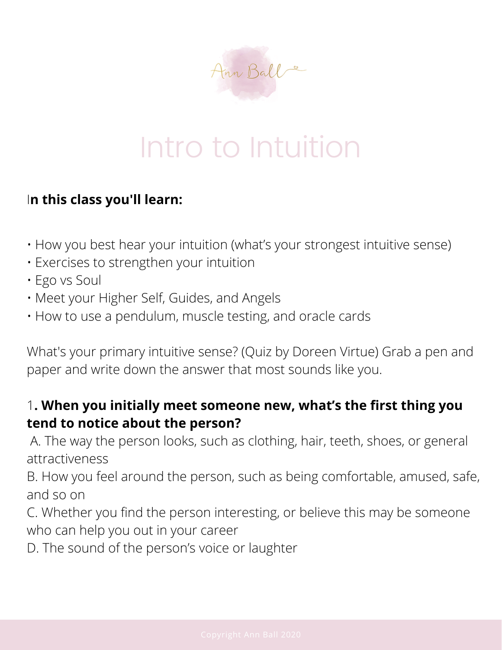

# Intro to Intuition

#### I**n this class you'll learn:**

- How you best hear your intuition (what's your strongest intuitive sense)
- Exercises to strengthen your intuition
- Ego vs Soul
- Meet your Higher Self, Guides, and Angels
- How to use a pendulum, muscle testing, and oracle cards

What's your primary intuitive sense? (Quiz by Doreen Virtue) Grab a pen and paper and write down the answer that most sounds like you.

#### 1**. When you initially meet someone new, what's the first thing you tend to notice about the person?**

A. The way the person looks, such as clothing, hair, teeth, shoes, or general attractiveness

B. How you feel around the person, such as being comfortable, amused, safe, and so on

C. Whether you find the person interesting, or believe this may be someone who can help you out in your career

D. The sound of the person's voice or laughter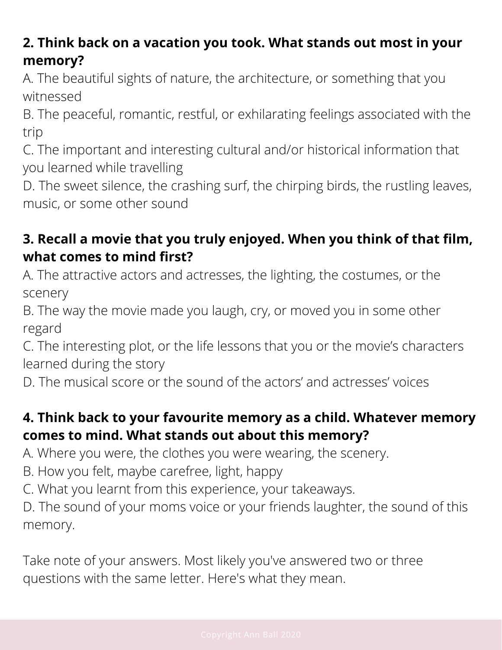## **2. Think back on a vacation you took. What stands out most in your memory?**

A. The beautiful sights of nature, the architecture, or something that you witnessed

B. The peaceful, romantic, restful, or exhilarating feelings associated with the trip

C. The important and interesting cultural and/or historical information that you learned while travelling

D. The sweet silence, the crashing surf, the chirping birds, the rustling leaves, music, or some other sound

## **3. Recall a movie that you truly enjoyed. When you think of that film, what comes to mind first?**

A. The attractive actors and actresses, the lighting, the costumes, or the scenery

B. The way the movie made you laugh, cry, or moved you in some other regard

C. The interesting plot, or the life lessons that you or the movie's characters learned during the story

D. The musical score or the sound of the actors' and actresses' voices

### **4. Think back to your favourite memory as a child. Whatever memory comes to mind. What stands out about this memory?**

A. Where you were, the clothes you were wearing, the scenery.

- B. How you felt, maybe carefree, light, happy
- C. What you learnt from this experience, your takeaways.

D. The sound of your moms voice or your friends laughter, the sound of this memory.

Take note of your answers. Most likely you've answered two or three questions with the same letter. Here's what they mean.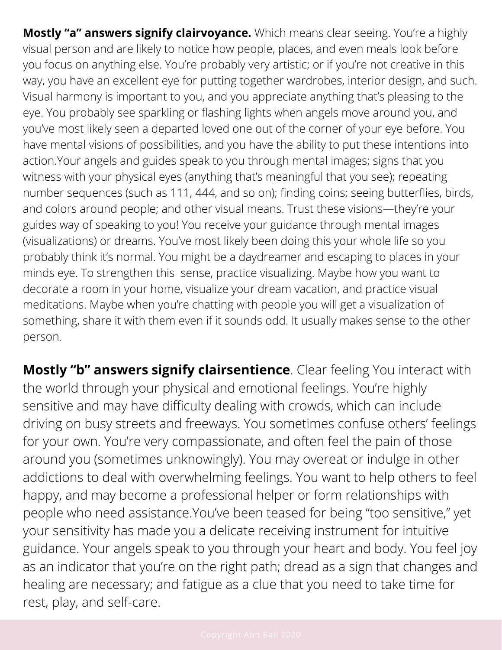**Mostly "a" answers signify clairvoyance.** Which means clear seeing. You're a highly visual person and are likely to notice how people, places, and even meals look before you focus on anything else. You're probably very artistic; or if you're not creative in this way, you have an excellent eye for putting together wardrobes, interior design, and such. Visual harmony is important to you, and you appreciate anything that's pleasing to the eye. You probably see sparkling or flashing lights when angels move around you, and you've most likely seen a departed loved one out of the corner of your eye before. You have mental visions of possibilities, and you have the ability to put these intentions into action.Your angels and guides speak to you through mental images; signs that you witness with your physical eyes (anything that's meaningful that you see); repeating number sequences (such as 111, 444, and so on); finding coins; seeing butterflies, birds, and colors around people; and other visual means. Trust these visions—they're your guides way of speaking to you! You receive your guidance through mental images (visualizations) or dreams. You've most likely been doing this your whole life so you probably think it's normal. You might be a daydreamer and escaping to places in your minds eye. To strengthen this sense, practice visualizing. Maybe how you want to decorate a room in your home, visualize your dream vacation, and practice visual meditations. Maybe when you're chatting with people you will get a visualization of something, share it with them even if it sounds odd. It usually makes sense to the other person.

**Mostly "b" answers signify clairsentience**. Clear feeling You interact with the world through your physical and emotional feelings. You're highly sensitive and may have difficulty dealing with crowds, which can include driving on busy streets and freeways. You sometimes confuse others' feelings for your own. You're very compassionate, and often feel the pain of those around you (sometimes unknowingly). You may overeat or indulge in other addictions to deal with overwhelming feelings. You want to help others to feel happy, and may become a professional helper or form relationships with people who need assistance.You've been teased for being "too sensitive," yet your sensitivity has made you a delicate receiving instrument for intuitive guidance. Your angels speak to you through your heart and body. You feel joy as an indicator that you're on the right path; dread as a sign that changes and healing are necessary; and fatigue as a clue that you need to take time for rest, play, and self-care.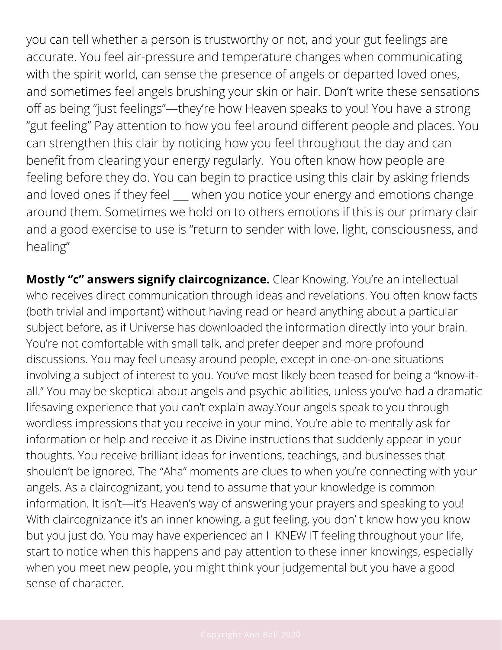you can tell whether a person is trustworthy or not, and your gut feelings are accurate. You feel air-pressure and temperature changes when communicating with the spirit world, can sense the presence of angels or departed loved ones, and sometimes feel angels brushing your skin or hair. Don't write these sensations off as being "just feelings"—they're how Heaven speaks to you! You have a strong "gut feeling" Pay attention to how you feel around different people and places. You can strengthen this clair by noticing how you feel throughout the day and can benefit from clearing your energy regularly. You often know how people are feeling before they do. You can begin to practice using this clair by asking friends and loved ones if they feel when you notice your energy and emotions change around them. Sometimes we hold on to others emotions if this is our primary clair and a good exercise to use is "return to sender with love, light, consciousness, and healing"

**Mostly "c" answers signify claircognizance.** Clear Knowing. You're an intellectual who receives direct communication through ideas and revelations. You often know facts (both trivial and important) without having read or heard anything about a particular subject before, as if Universe has downloaded the information directly into your brain. You're not comfortable with small talk, and prefer deeper and more profound discussions. You may feel uneasy around people, except in one-on-one situations involving a subject of interest to you. You've most likely been teased for being a "know-itall." You may be skeptical about angels and psychic abilities, unless you've had a dramatic lifesaving experience that you can't explain away.Your angels speak to you through wordless impressions that you receive in your mind. You're able to mentally ask for information or help and receive it as Divine instructions that suddenly appear in your thoughts. You receive brilliant ideas for inventions, teachings, and businesses that shouldn't be ignored. The "Aha" moments are clues to when you're connecting with your angels. As a claircognizant, you tend to assume that your knowledge is common information. It isn't—it's Heaven's way of answering your prayers and speaking to you! With claircognizance it's an inner knowing, a gut feeling, you don' t know how you know but you just do. You may have experienced an I KNEW IT feeling throughout your life, start to notice when this happens and pay attention to these inner knowings, especially when you meet new people, you might think your judgemental but you have a good sense of character.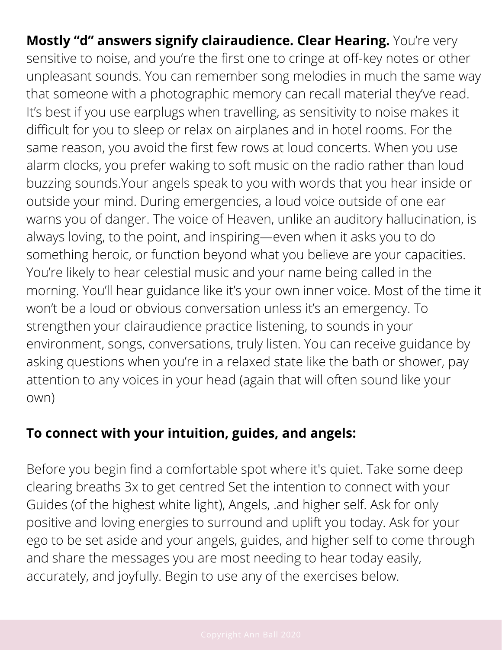**Mostly "d" answers signify clairaudience. Clear Hearing.** You're very sensitive to noise, and you're the first one to cringe at off-key notes or other unpleasant sounds. You can remember song melodies in much the same way that someone with a photographic memory can recall material they've read. It's best if you use earplugs when travelling, as sensitivity to noise makes it difficult for you to sleep or relax on airplanes and in hotel rooms. For the same reason, you avoid the first few rows at loud concerts. When you use alarm clocks, you prefer waking to soft music on the radio rather than loud buzzing sounds.Your angels speak to you with words that you hear inside or outside your mind. During emergencies, a loud voice outside of one ear warns you of danger. The voice of Heaven, unlike an auditory hallucination, is always loving, to the point, and inspiring—even when it asks you to do something heroic, or function beyond what you believe are your capacities. You're likely to hear celestial music and your name being called in the morning. You'll hear guidance like it's your own inner voice. Most of the time it won't be a loud or obvious conversation unless it's an emergency. To strengthen your clairaudience practice listening, to sounds in your environment, songs, conversations, truly listen. You can receive guidance by asking questions when you're in a relaxed state like the bath or shower, pay attention to any voices in your head (again that will often sound like your own)

#### **To connect with your intuition, guides, and angels:**

Before you begin find a comfortable spot where it's quiet. Take some deep clearing breaths 3x to get centred Set the intention to connect with your Guides (of the highest white light), Angels, .and higher self. Ask for only positive and loving energies to surround and uplift you today. Ask for your ego to be set aside and your angels, guides, and higher self to come through and share the messages you are most needing to hear today easily, accurately, and joyfully. Begin to use any of the exercises below.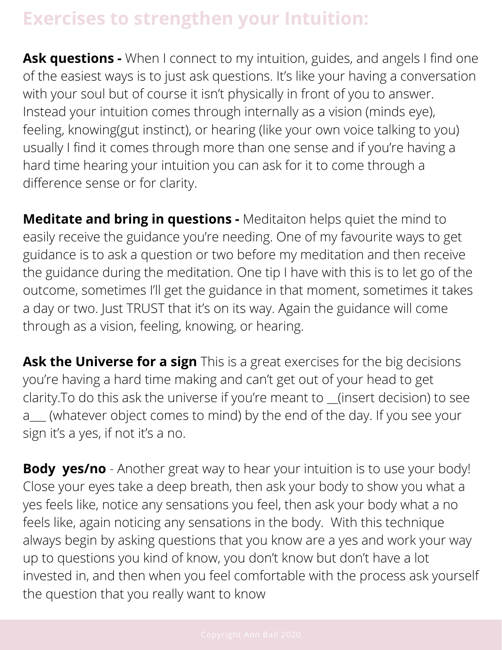## **Exercises to strengthen your Intuition:**

**Ask questions -** When I connect to my intuition, guides, and angels I find one of the easiest ways is to just ask questions. It's like your having a conversation with your soul but of course it isn't physically in front of you to answer. Instead your intuition comes through internally as a vision (minds eye), feeling, knowing(gut instinct), or hearing (like your own voice talking to you) usually I find it comes through more than one sense and if you're having a hard time hearing your intuition you can ask for it to come through a difference sense or for clarity.

**Meditate and bring in questions -** Meditaiton helps quiet the mind to easily receive the guidance you're needing. One of my favourite ways to get guidance is to ask a question or two before my meditation and then receive the guidance during the meditation. One tip I have with this is to let go of the outcome, sometimes I'll get the guidance in that moment, sometimes it takes a day or two. Just TRUST that it's on its way. Again the guidance will come through as a vision, feeling, knowing, or hearing.

**Ask the Universe for a sign** This is a great exercises for the big decisions you're having a hard time making and can't get out of your head to get clarity. To do this ask the universe if you're meant to \_\_(insert decision) to see a\_\_\_ (whatever object comes to mind) by the end of the day. If you see your sign it's a yes, if not it's a no.

**Body yes/no** - Another great way to hear your intuition is to use your body! Close your eyes take a deep breath, then ask your body to show you what a yes feels like, notice any sensations you feel, then ask your body what a no feels like, again noticing any sensations in the body. With this technique always begin by asking questions that you know are a yes and work your way up to questions you kind of know, you don't know but don't have a lot invested in, and then when you feel comfortable with the process ask yourself the question that you really want to know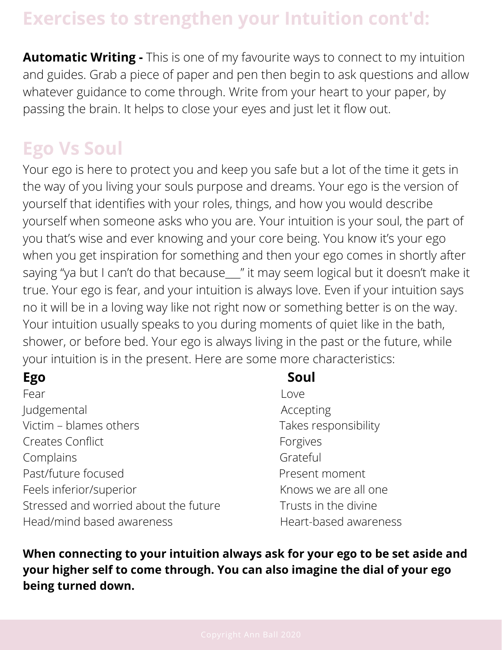## **Exercises to strengthen your Intuition cont'd:**

**Automatic Writing -** This is one of my favourite ways to connect to my intuition and guides. Grab a piece of paper and pen then begin to ask questions and allow whatever guidance to come through. Write from your heart to your paper, by passing the brain. It helps to close your eyes and just let it flow out.

## **Ego Vs Soul**

Your ego is here to protect you and keep you safe but a lot of the time it gets in the way of you living your souls purpose and dreams. Your ego is the version of yourself that identifies with your roles, things, and how you would describe yourself when someone asks who you are. Your intuition is your soul, the part of you that's wise and ever knowing and your core being. You know it's your ego when you get inspiration for something and then your ego comes in shortly after saying "ya but I can't do that because\_\_" it may seem logical but it doesn't make it true. Your ego is fear, and your intuition is always love. Even if your intuition says no it will be in a loving way like not right now or something better is on the way. Your intuition usually speaks to you during moments of quiet like in the bath, shower, or before bed. Your ego is always living in the past or the future, while your intuition is in the present. Here are some more characteristics:

Fear Love Judgemental and accepting and accepting Victim – blames others Takes responsibility Creates Conflict **Forgives Forgives** Complains **Grateful** Past/future focused Past/future focused Feels inferior/superior The Community Changes in Knows we are all one Stressed and worried about the future Trusts in the divine Head/mind based awareness Theart-based awareness

#### **Ego Soul**

**When connecting to your intuition always ask for your ego to be set aside and your higher self to come through. You can also imagine the dial of your ego being turned down.**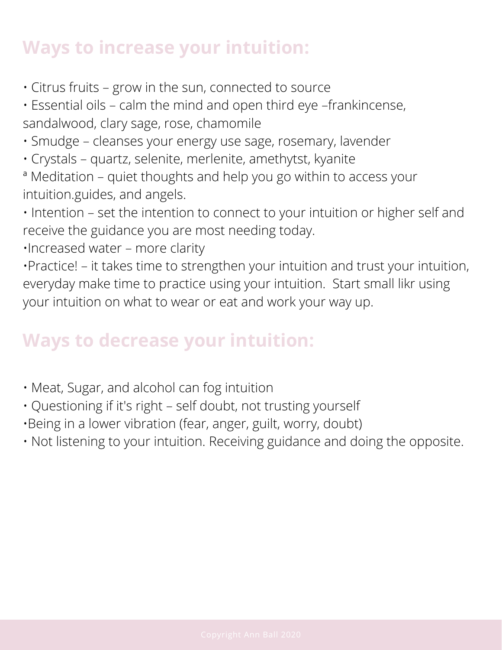## **Ways to increase your intuition:**

- Citrus fruits grow in the sun, connected to source
- Essential oils calm the mind and open third eye –frankincense, sandalwood, clary sage, rose, chamomile
- Smudge cleanses your energy use sage, rosemary, lavender
- Crystals quartz, selenite, merlenite, amethytst, kyanite
- ª Meditation quiet thoughts and help you go within to access your intuition.guides, and angels.
- Intention set the intention to connect to your intuition or higher self and receive the guidance you are most needing today.
- •Increased water more clarity

•Practice! – it takes time to strengthen your intuition and trust your intuition, everyday make time to practice using your intuition. Start small likr using your intuition on what to wear or eat and work your way up.

## **Ways to decrease your intuition:**

- Meat, Sugar, and alcohol can fog intuition
- Questioning if it's right self doubt, not trusting yourself
- •Being in a lower vibration (fear, anger, guilt, worry, doubt)
- Not listening to your intuition. Receiving guidance and doing the opposite.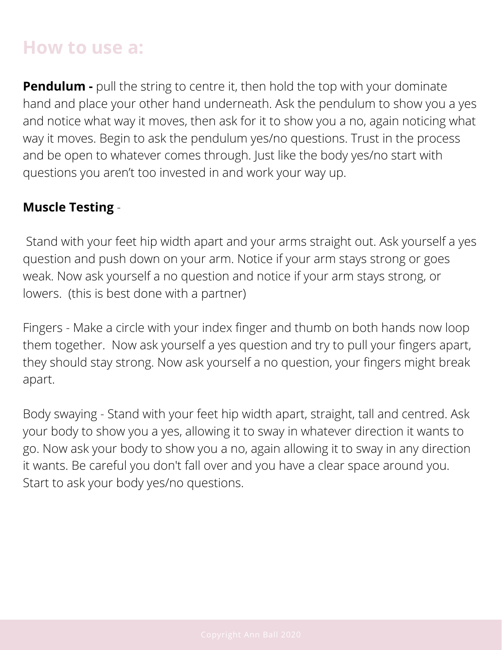## **How to use a:**

**Pendulum -** pull the string to centre it, then hold the top with your dominate hand and place your other hand underneath. Ask the pendulum to show you a yes and notice what way it moves, then ask for it to show you a no, again noticing what way it moves. Begin to ask the pendulum yes/no questions. Trust in the process and be open to whatever comes through. Just like the body yes/no start with questions you aren't too invested in and work your way up.

#### **Muscle Testing** -

 Stand with your feet hip width apart and your arms straight out. Ask yourself a yes question and push down on your arm. Notice if your arm stays strong or goes weak. Now ask yourself a no question and notice if your arm stays strong, or lowers. (this is best done with a partner)

Fingers - Make a circle with your index finger and thumb on both hands now loop them together. Now ask yourself a yes question and try to pull your fingers apart, they should stay strong. Now ask yourself a no question, your fingers might break apart.

Body swaying - Stand with your feet hip width apart, straight, tall and centred. Ask your body to show you a yes, allowing it to sway in whatever direction it wants to go. Now ask your body to show you a no, again allowing it to sway in any direction it wants. Be careful you don't fall over and you have a clear space around you. Start to ask your body yes/no questions.